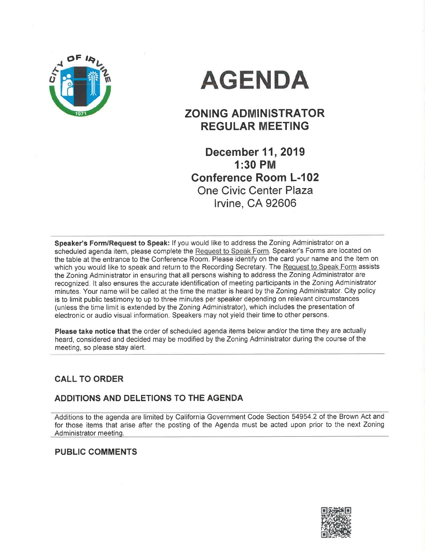

# AGENDA

## ZONING ADMINISTRATOR REGULAR MEETING

December 11, 2019 1:30 PM Gonference Room L-102 One Civic Center Plaza lrvine, CA 92606

Speaker's Form/Request to Speak: If you would like to address the Zoning Administrator on a scheduled agenda item, please complete the Request to Speak Form. Speaker's Forms are located on the table at the entrance to the Conference Room. Please identify on the card your name and the item on which you would like to speak and return to the Recording Secretary. The Request to Speak Form assists the Zoning Administrator in ensuring that all persons wishing to address the Zoning Administrator are recognized. lt also ensures the accurate identification of meeting participants in the Zoning Administrator minutes. Your name will be called at the time the matter is heard by the Zoning Administrator. City policy is to limit public testimony to up to three minutes per speaker depending on relevant circumstances (unless the time limit is extended by the Zoning Administrator), which includes the presentation of electronic or audio visual information. Speakers may not yield their time to other persons.

Please take notice that the order of scheduled agenda items below and/or the time they are actually heard, considered and decided may be modified by the Zoning Administrator during the course of the meeting, so please stay alert.

## CALL TO ORDER

## ADDITIONS AND DELETIONS TO THE AGENDA

Additions to the agenda are limited by California Government Code Section 54954.2 of the Brown Act and for those items that arise after the posting of the Agenda must be acted upon prior to the next Zoning Administrator meeting.

## PUBLIC COMMENTS

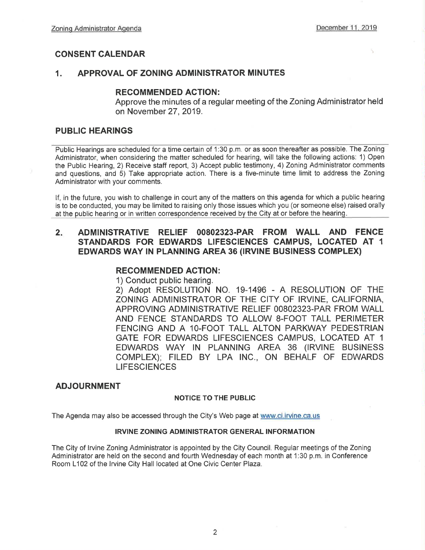## CONSENT CALENDAR

## ,1. APPROVAL OF ZONING ADMINISTRATOR MINUTES

## RECOMMENDED AGTION:

Approve the minutes of a regular meeting of the Zoning Administrator held on November 27, 2019.

## PUBLIC HEARINGS

Public Hearings are scheduled for a time certain of 1:30 p.m. or as soon thereafter as possible. The Zoning Administrator, when considering the matter scheduled for hearing, will take the following actions: 1) Open the Public Hearing, 2) Receive staff report, 3) Accept public testimony, 4) Zoning Administrator comments and questions, and 5) Take appropriate action. There is a five-minute time limit to address the Zoning Administrator with your comments.

lf, in the future, you wish to challenge in court any of the matters on this agenda for which a public hearing is to be conducted, you may be limited to raising only those issues which you (or someone else) raised orally at the public hearing or in written correspondence received by the City at or before the hearing.

## <sup>2</sup> ADMINISTRATIVE RELIEF OO8O2323.PAR FROM WALL AND FENCE STANDARDS FOR EDWARDS LIFESGIENCES CAMPUS, LOCATED AT <sup>1</sup> EDWARDS WAY IN PLANNING AREA 36 (IRVINE BUSINESS COMPLEX)

## RECOMMENDED AGTION:

1) Conduct public hearing.

2) Adopt RESOLUTION NO. 19-1496 - A RESOLUTION OF THE ZONING ADMINISTRATOR OF THE CITY OF IRVINE, CALIFORNIA, APPROVING ADMINISTRATIVE RELIEF 00802323-PAR FROM WALL AND FENCE STANDARDS TO ALLOW 8-FOOT TALL PERIMETER FENCING AND A 1O-FOOT TALL ALTON PARKWAY PEDESTRIAN GATE FOR EDWARDS LIFESCIENCES CAMPUS, LOCATED AT <sup>1</sup> EDWARDS WAY IN PLANNING AREA 36 (IRVINE BUSINESS COMPLEX); FILED BY LPA lNC., ON BEHALF OF EDWARDS **LIFESCIENCES** 

## ADJOURNMENT

### NOTICE TO THE PUBLIC

The Agenda may also be accessed through the City's Web page at www.ci.irvine.ca.us

### IRVINE ZONING ADMINISTRATOR GENERAL INFORMATION

The City of lrvine Zoning Administrator is appointed by the City Council. Regular meetings of the Zoning Administrator are held on the second and fourth Wednesday of each month at 1:30 p.m. in Conference Room L102 of the Irvine City Hall located at One Civic Center Plaza.